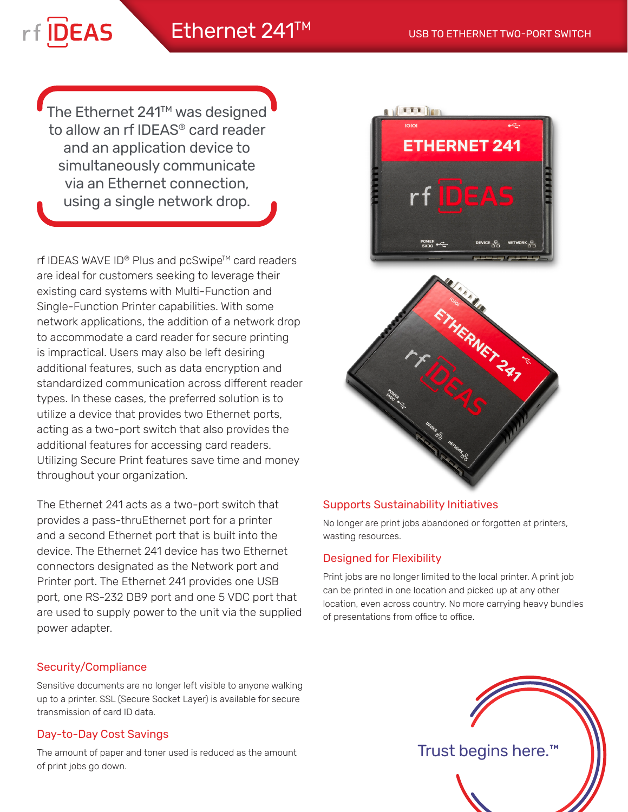# Ethernet 241<sup>TM</sup> USB TO ETHERNET TWO-PORT SWITCH

rf DEAS

The Ethernet 241<sup>™</sup> was designed to allow an rf IDEAS® card reader and an application device to simultaneously communicate via an Ethernet connection, using a single network drop.

rf IDEAS WAVE ID® Plus and pcSwipe™ card readers are ideal for customers seeking to leverage their existing card systems with Multi-Function and Single-Function Printer capabilities. With some network applications, the addition of a network drop to accommodate a card reader for secure printing is impractical. Users may also be left desiring additional features, such as data encryption and standardized communication across different reader types. In these cases, the preferred solution is to utilize a device that provides two Ethernet ports, acting as a two-port switch that also provides the additional features for accessing card readers. Utilizing Secure Print features save time and money throughout your organization.

The Ethernet 241 acts as a two-port switch that provides a pass-thruEthernet port for a printer and a second Ethernet port that is built into the device. The Ethernet 241 device has two Ethernet connectors designated as the Network port and Printer port. The Ethernet 241 provides one USB port, one RS-232 DB9 port and one 5 VDC port that are used to supply power to the unit via the supplied power adapter.

## Security/Compliance

Sensitive documents are no longer left visible to anyone walking up to a printer. SSL (Secure Socket Layer) is available for secure transmission of card ID data.

## Day-to-Day Cost Savings

The amount of paper and toner used is reduced as the amount of print jobs go down.



## Supports Sustainability Initiatives

No longer are print jobs abandoned or forgotten at printers, wasting resources.

## Designed for Flexibility

Print jobs are no longer limited to the local printer. A print job can be printed in one location and picked up at any other location, even across country. No more carrying heavy bundles of presentations from office to office.



Trust begins here.™